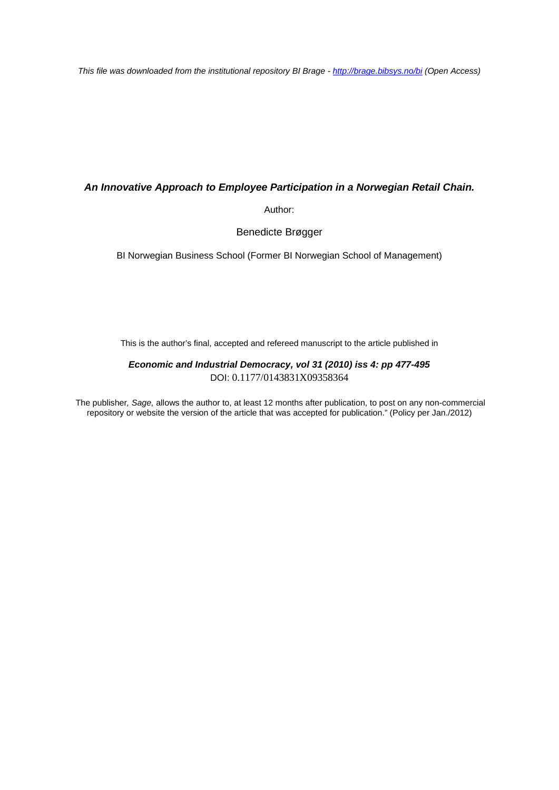*This file was downloaded from the institutional repository BI Brage - <http://brage.bibsys.no/bi> (Open Access)*

## *An Innovative Approach to Employee Participation in a Norwegian Retail Chain.*

Author:

Benedicte Brøgger

BI Norwegian Business School (Former BI Norwegian School of Management)

This is the author's final, accepted and refereed manuscript to the article published in

## *Economic and Industrial Democracy, vol 31 (2010) iss 4: pp 477-495* DOI: 0.1177/0143831X09358364

The publisher*, Sage,* allows the author to, at least 12 months after publication, to post on any non-commercial repository or website the version of the article that was accepted for publication." (Policy per Jan./2012)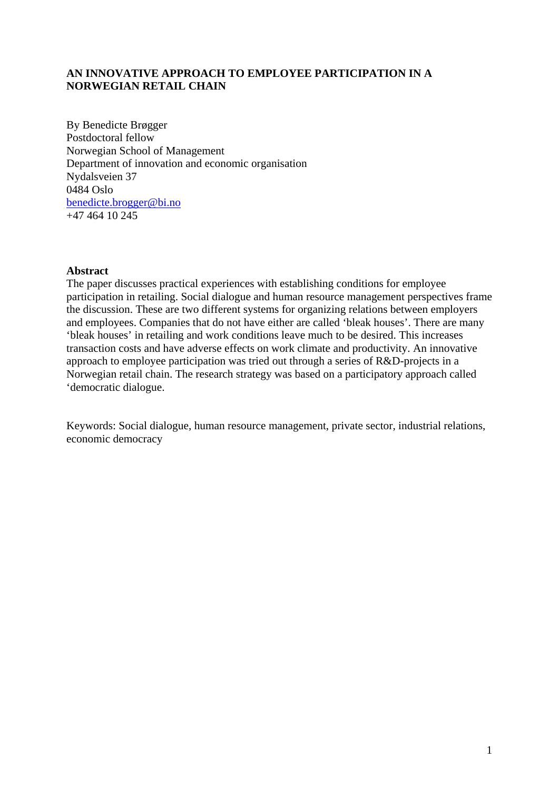# **AN INNOVATIVE APPROACH TO EMPLOYEE PARTICIPATION IN A NORWEGIAN RETAIL CHAIN**

By Benedicte Brøgger Postdoctoral fellow Norwegian School of Management Department of innovation and economic organisation Nydalsveien 37 0484 Oslo benedicte.brogger@bi.no +47 464 10 245

## **Abstract**

The paper discusses practical experiences with establishing conditions for employee participation in retailing. Social dialogue and human resource management perspectives frame the discussion. These are two different systems for organizing relations between employers and employees. Companies that do not have either are called 'bleak houses'. There are many 'bleak houses' in retailing and work conditions leave much to be desired. This increases transaction costs and have adverse effects on work climate and productivity. An innovative approach to employee participation was tried out through a series of R&D-projects in a Norwegian retail chain. The research strategy was based on a participatory approach called 'democratic dialogue.

Keywords: Social dialogue, human resource management, private sector, industrial relations, economic democracy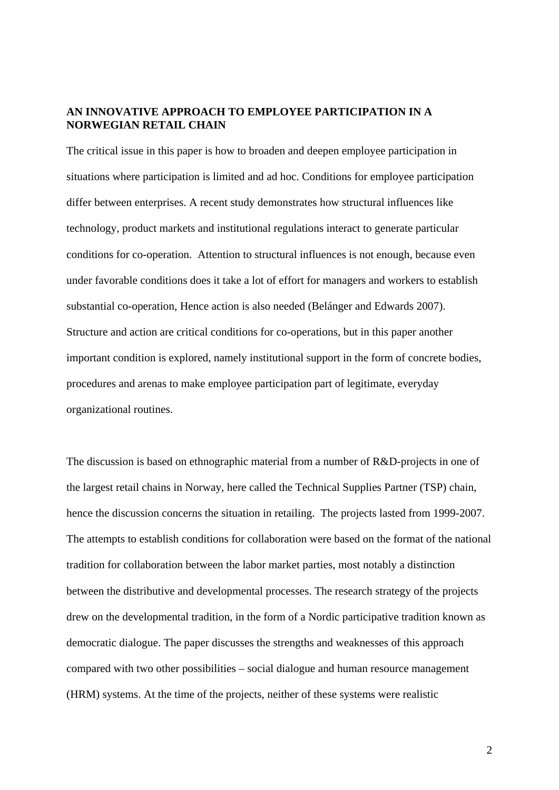## **AN INNOVATIVE APPROACH TO EMPLOYEE PARTICIPATION IN A NORWEGIAN RETAIL CHAIN**

The critical issue in this paper is how to broaden and deepen employee participation in situations where participation is limited and ad hoc. Conditions for employee participation differ between enterprises. A recent study demonstrates how structural influences like technology, product markets and institutional regulations interact to generate particular conditions for co-operation. Attention to structural influences is not enough, because even under favorable conditions does it take a lot of effort for managers and workers to establish substantial co-operation, Hence action is also needed (Belánger and Edwards 2007). Structure and action are critical conditions for co-operations, but in this paper another important condition is explored, namely institutional support in the form of concrete bodies, procedures and arenas to make employee participation part of legitimate, everyday organizational routines.

The discussion is based on ethnographic material from a number of R&D-projects in one of the largest retail chains in Norway, here called the Technical Supplies Partner (TSP) chain, hence the discussion concerns the situation in retailing. The projects lasted from 1999-2007. The attempts to establish conditions for collaboration were based on the format of the national tradition for collaboration between the labor market parties, most notably a distinction between the distributive and developmental processes. The research strategy of the projects drew on the developmental tradition, in the form of a Nordic participative tradition known as democratic dialogue. The paper discusses the strengths and weaknesses of this approach compared with two other possibilities – social dialogue and human resource management (HRM) systems. At the time of the projects, neither of these systems were realistic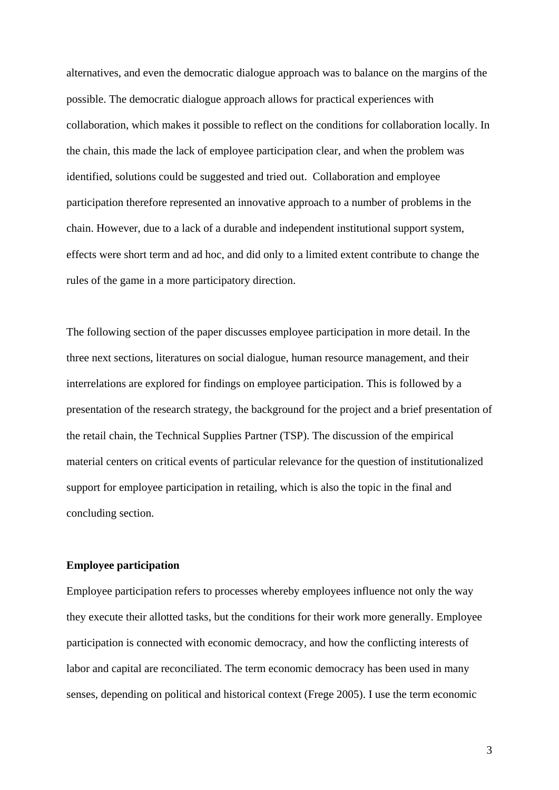alternatives, and even the democratic dialogue approach was to balance on the margins of the possible. The democratic dialogue approach allows for practical experiences with collaboration, which makes it possible to reflect on the conditions for collaboration locally. In the chain, this made the lack of employee participation clear, and when the problem was identified, solutions could be suggested and tried out. Collaboration and employee participation therefore represented an innovative approach to a number of problems in the chain. However, due to a lack of a durable and independent institutional support system, effects were short term and ad hoc, and did only to a limited extent contribute to change the rules of the game in a more participatory direction.

The following section of the paper discusses employee participation in more detail. In the three next sections, literatures on social dialogue, human resource management, and their interrelations are explored for findings on employee participation. This is followed by a presentation of the research strategy, the background for the project and a brief presentation of the retail chain, the Technical Supplies Partner (TSP). The discussion of the empirical material centers on critical events of particular relevance for the question of institutionalized support for employee participation in retailing, which is also the topic in the final and concluding section.

## **Employee participation**

Employee participation refers to processes whereby employees influence not only the way they execute their allotted tasks, but the conditions for their work more generally. Employee participation is connected with economic democracy, and how the conflicting interests of labor and capital are reconciliated. The term economic democracy has been used in many senses, depending on political and historical context (Frege 2005). I use the term economic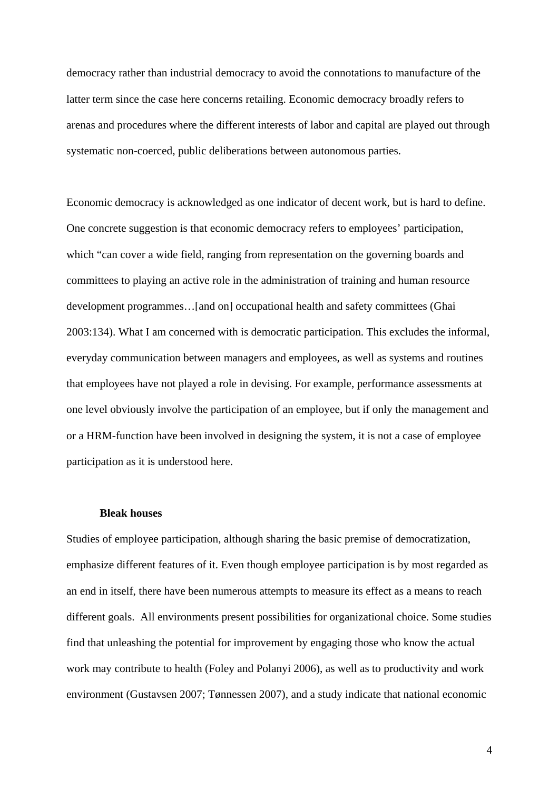democracy rather than industrial democracy to avoid the connotations to manufacture of the latter term since the case here concerns retailing. Economic democracy broadly refers to arenas and procedures where the different interests of labor and capital are played out through systematic non-coerced, public deliberations between autonomous parties.

Economic democracy is acknowledged as one indicator of decent work, but is hard to define. One concrete suggestion is that economic democracy refers to employees' participation, which "can cover a wide field, ranging from representation on the governing boards and committees to playing an active role in the administration of training and human resource development programmes…[and on] occupational health and safety committees (Ghai 2003:134). What I am concerned with is democratic participation. This excludes the informal, everyday communication between managers and employees, as well as systems and routines that employees have not played a role in devising. For example, performance assessments at one level obviously involve the participation of an employee, but if only the management and or a HRM-function have been involved in designing the system, it is not a case of employee participation as it is understood here.

## **Bleak houses**

Studies of employee participation, although sharing the basic premise of democratization, emphasize different features of it. Even though employee participation is by most regarded as an end in itself, there have been numerous attempts to measure its effect as a means to reach different goals. All environments present possibilities for organizational choice. Some studies find that unleashing the potential for improvement by engaging those who know the actual work may contribute to health (Foley and Polanyi 2006), as well as to productivity and work environment (Gustavsen 2007; Tønnessen 2007), and a study indicate that national economic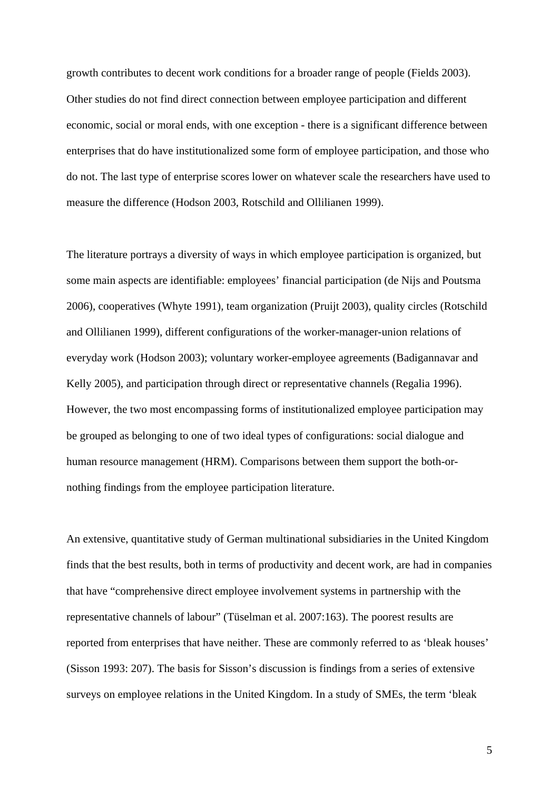growth contributes to decent work conditions for a broader range of people (Fields 2003). Other studies do not find direct connection between employee participation and different economic, social or moral ends, with one exception - there is a significant difference between enterprises that do have institutionalized some form of employee participation, and those who do not. The last type of enterprise scores lower on whatever scale the researchers have used to measure the difference (Hodson 2003, Rotschild and Ollilianen 1999).

The literature portrays a diversity of ways in which employee participation is organized, but some main aspects are identifiable: employees' financial participation (de Nijs and Poutsma 2006), cooperatives (Whyte 1991), team organization (Pruijt 2003), quality circles (Rotschild and Ollilianen 1999), different configurations of the worker-manager-union relations of everyday work (Hodson 2003); voluntary worker-employee agreements (Badigannavar and Kelly 2005), and participation through direct or representative channels (Regalia 1996). However, the two most encompassing forms of institutionalized employee participation may be grouped as belonging to one of two ideal types of configurations: social dialogue and human resource management (HRM). Comparisons between them support the both-ornothing findings from the employee participation literature.

An extensive, quantitative study of German multinational subsidiaries in the United Kingdom finds that the best results, both in terms of productivity and decent work, are had in companies that have "comprehensive direct employee involvement systems in partnership with the representative channels of labour" (Tüselman et al. 2007:163). The poorest results are reported from enterprises that have neither. These are commonly referred to as 'bleak houses' (Sisson 1993: 207). The basis for Sisson's discussion is findings from a series of extensive surveys on employee relations in the United Kingdom. In a study of SMEs, the term 'bleak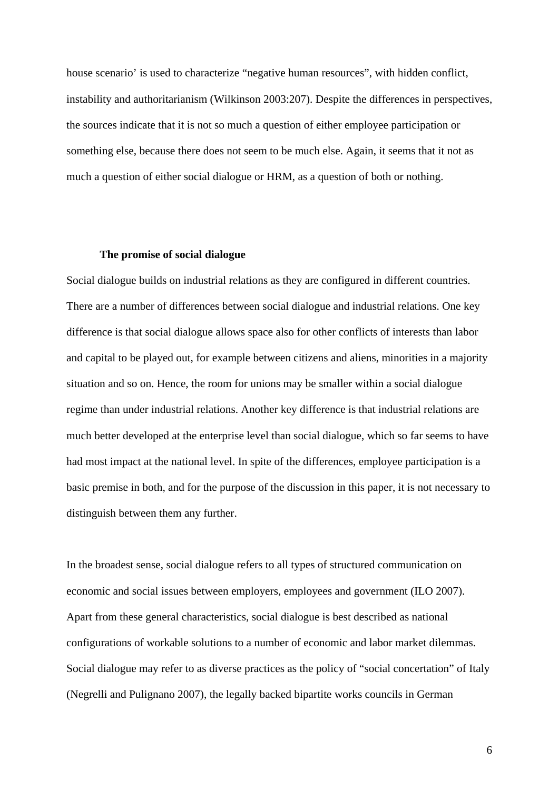house scenario' is used to characterize "negative human resources", with hidden conflict, instability and authoritarianism (Wilkinson 2003:207). Despite the differences in perspectives, the sources indicate that it is not so much a question of either employee participation or something else, because there does not seem to be much else. Again, it seems that it not as much a question of either social dialogue or HRM, as a question of both or nothing.

### **The promise of social dialogue**

Social dialogue builds on industrial relations as they are configured in different countries. There are a number of differences between social dialogue and industrial relations. One key difference is that social dialogue allows space also for other conflicts of interests than labor and capital to be played out, for example between citizens and aliens, minorities in a majority situation and so on. Hence, the room for unions may be smaller within a social dialogue regime than under industrial relations. Another key difference is that industrial relations are much better developed at the enterprise level than social dialogue, which so far seems to have had most impact at the national level. In spite of the differences, employee participation is a basic premise in both, and for the purpose of the discussion in this paper, it is not necessary to distinguish between them any further.

In the broadest sense, social dialogue refers to all types of structured communication on economic and social issues between employers, employees and government (ILO 2007). Apart from these general characteristics, social dialogue is best described as national configurations of workable solutions to a number of economic and labor market dilemmas. Social dialogue may refer to as diverse practices as the policy of "social concertation" of Italy (Negrelli and Pulignano 2007), the legally backed bipartite works councils in German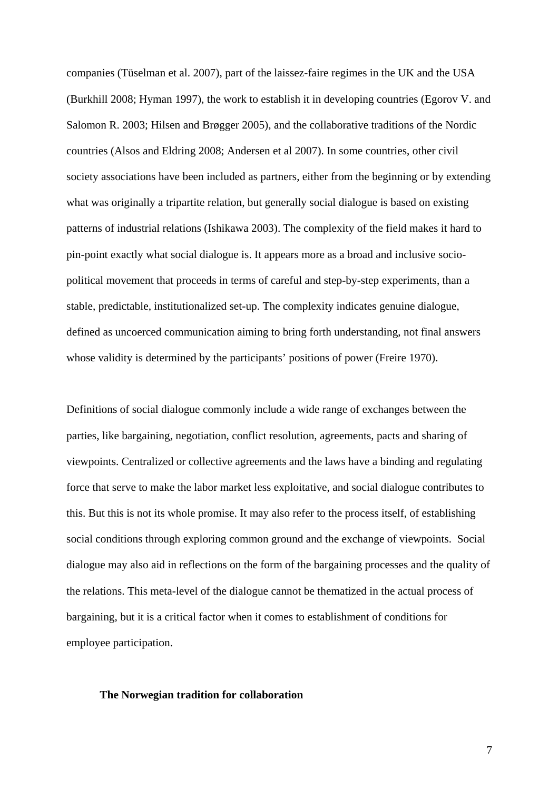companies (Tüselman et al. 2007), part of the laissez-faire regimes in the UK and the USA (Burkhill 2008; Hyman 1997), the work to establish it in developing countries (Egorov V. and Salomon R. 2003; Hilsen and Brøgger 2005), and the collaborative traditions of the Nordic countries (Alsos and Eldring 2008; Andersen et al 2007). In some countries, other civil society associations have been included as partners, either from the beginning or by extending what was originally a tripartite relation, but generally social dialogue is based on existing patterns of industrial relations (Ishikawa 2003). The complexity of the field makes it hard to pin-point exactly what social dialogue is. It appears more as a broad and inclusive sociopolitical movement that proceeds in terms of careful and step-by-step experiments, than a stable, predictable, institutionalized set-up. The complexity indicates genuine dialogue, defined as uncoerced communication aiming to bring forth understanding, not final answers whose validity is determined by the participants' positions of power (Freire 1970).

Definitions of social dialogue commonly include a wide range of exchanges between the parties, like bargaining, negotiation, conflict resolution, agreements, pacts and sharing of viewpoints. Centralized or collective agreements and the laws have a binding and regulating force that serve to make the labor market less exploitative, and social dialogue contributes to this. But this is not its whole promise. It may also refer to the process itself, of establishing social conditions through exploring common ground and the exchange of viewpoints. Social dialogue may also aid in reflections on the form of the bargaining processes and the quality of the relations. This meta-level of the dialogue cannot be thematized in the actual process of bargaining, but it is a critical factor when it comes to establishment of conditions for employee participation.

#### **The Norwegian tradition for collaboration**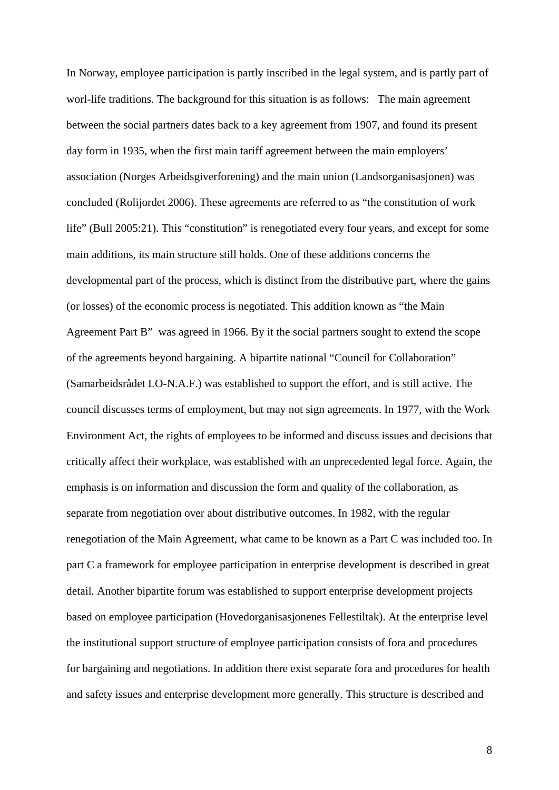In Norway, employee participation is partly inscribed in the legal system, and is partly part of worl-life traditions. The background for this situation is as follows: The main agreement between the social partners dates back to a key agreement from 1907, and found its present day form in 1935, when the first main tariff agreement between the main employers' association (Norges Arbeidsgiverforening) and the main union (Landsorganisasjonen) was concluded (Rolijordet 2006). These agreements are referred to as "the constitution of work life" (Bull 2005:21). This "constitution" is renegotiated every four years, and except for some main additions, its main structure still holds. One of these additions concerns the developmental part of the process, which is distinct from the distributive part, where the gains (or losses) of the economic process is negotiated. This addition known as "the Main Agreement Part B" was agreed in 1966. By it the social partners sought to extend the scope of the agreements beyond bargaining. A bipartite national "Council for Collaboration" (Samarbeidsrådet LO-N.A.F.) was established to support the effort, and is still active. The council discusses terms of employment, but may not sign agreements. In 1977, with the Work Environment Act, the rights of employees to be informed and discuss issues and decisions that critically affect their workplace, was established with an unprecedented legal force. Again, the emphasis is on information and discussion the form and quality of the collaboration, as separate from negotiation over about distributive outcomes. In 1982, with the regular renegotiation of the Main Agreement, what came to be known as a Part C was included too. In part C a framework for employee participation in enterprise development is described in great detail. Another bipartite forum was established to support enterprise development projects based on employee participation (Hovedorganisasjonenes Fellestiltak). At the enterprise level the institutional support structure of employee participation consists of fora and procedures for bargaining and negotiations. In addition there exist separate fora and procedures for health and safety issues and enterprise development more generally. This structure is described and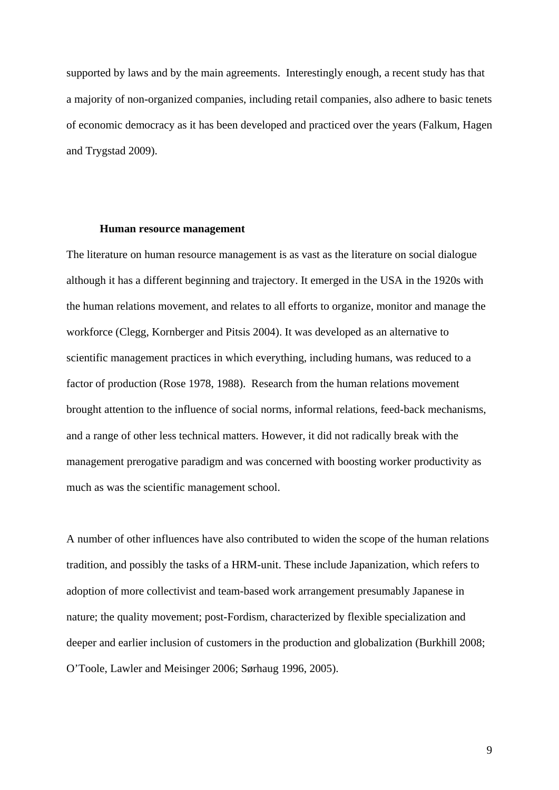supported by laws and by the main agreements. Interestingly enough, a recent study has that a majority of non-organized companies, including retail companies, also adhere to basic tenets of economic democracy as it has been developed and practiced over the years (Falkum, Hagen and Trygstad 2009).

#### **Human resource management**

The literature on human resource management is as vast as the literature on social dialogue although it has a different beginning and trajectory. It emerged in the USA in the 1920s with the human relations movement, and relates to all efforts to organize, monitor and manage the workforce (Clegg, Kornberger and Pitsis 2004). It was developed as an alternative to scientific management practices in which everything, including humans, was reduced to a factor of production (Rose 1978, 1988). Research from the human relations movement brought attention to the influence of social norms, informal relations, feed-back mechanisms, and a range of other less technical matters. However, it did not radically break with the management prerogative paradigm and was concerned with boosting worker productivity as much as was the scientific management school.

A number of other influences have also contributed to widen the scope of the human relations tradition, and possibly the tasks of a HRM-unit. These include Japanization, which refers to adoption of more collectivist and team-based work arrangement presumably Japanese in nature; the quality movement; post-Fordism, characterized by flexible specialization and deeper and earlier inclusion of customers in the production and globalization (Burkhill 2008; O'Toole, Lawler and Meisinger 2006; Sørhaug 1996, 2005).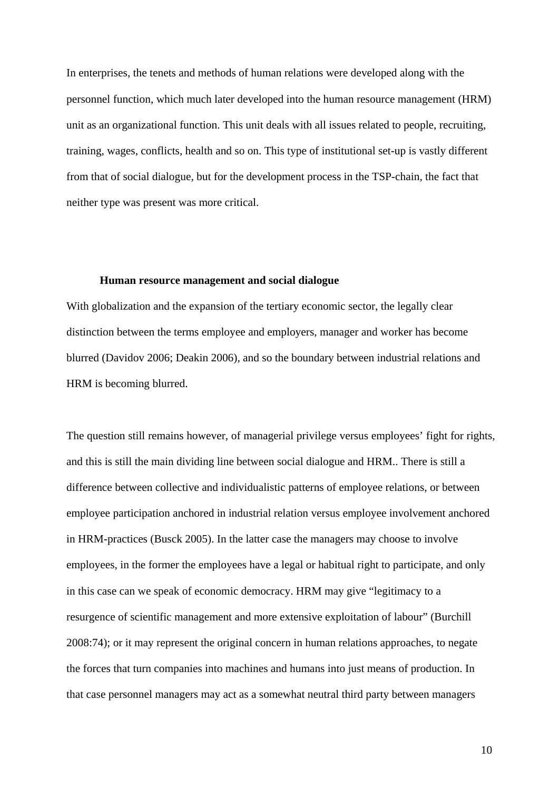In enterprises, the tenets and methods of human relations were developed along with the personnel function, which much later developed into the human resource management (HRM) unit as an organizational function. This unit deals with all issues related to people, recruiting, training, wages, conflicts, health and so on. This type of institutional set-up is vastly different from that of social dialogue, but for the development process in the TSP-chain, the fact that neither type was present was more critical.

### **Human resource management and social dialogue**

With globalization and the expansion of the tertiary economic sector, the legally clear distinction between the terms employee and employers, manager and worker has become blurred (Davidov 2006; Deakin 2006), and so the boundary between industrial relations and HRM is becoming blurred.

The question still remains however, of managerial privilege versus employees' fight for rights, and this is still the main dividing line between social dialogue and HRM.. There is still a difference between collective and individualistic patterns of employee relations, or between employee participation anchored in industrial relation versus employee involvement anchored in HRM-practices (Busck 2005). In the latter case the managers may choose to involve employees, in the former the employees have a legal or habitual right to participate, and only in this case can we speak of economic democracy. HRM may give "legitimacy to a resurgence of scientific management and more extensive exploitation of labour" (Burchill 2008:74); or it may represent the original concern in human relations approaches, to negate the forces that turn companies into machines and humans into just means of production. In that case personnel managers may act as a somewhat neutral third party between managers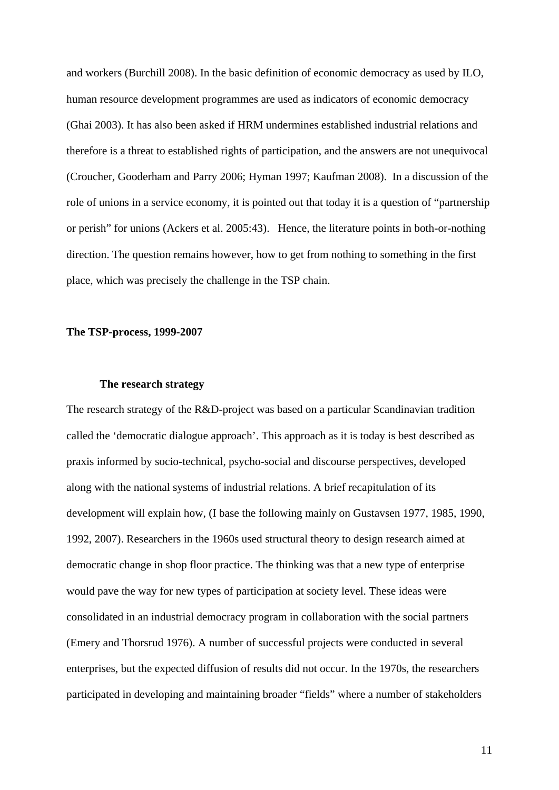and workers (Burchill 2008). In the basic definition of economic democracy as used by ILO, human resource development programmes are used as indicators of economic democracy (Ghai 2003). It has also been asked if HRM undermines established industrial relations and therefore is a threat to established rights of participation, and the answers are not unequivocal (Croucher, Gooderham and Parry 2006; Hyman 1997; Kaufman 2008). In a discussion of the role of unions in a service economy, it is pointed out that today it is a question of "partnership or perish" for unions (Ackers et al. 2005:43). Hence, the literature points in both-or-nothing direction. The question remains however, how to get from nothing to something in the first place, which was precisely the challenge in the TSP chain.

### **The TSP-process, 1999-2007**

### **The research strategy**

The research strategy of the R&D-project was based on a particular Scandinavian tradition called the 'democratic dialogue approach'. This approach as it is today is best described as praxis informed by socio-technical, psycho-social and discourse perspectives, developed along with the national systems of industrial relations. A brief recapitulation of its development will explain how, (I base the following mainly on Gustavsen 1977, 1985, 1990, 1992, 2007). Researchers in the 1960s used structural theory to design research aimed at democratic change in shop floor practice. The thinking was that a new type of enterprise would pave the way for new types of participation at society level. These ideas were consolidated in an industrial democracy program in collaboration with the social partners (Emery and Thorsrud 1976). A number of successful projects were conducted in several enterprises, but the expected diffusion of results did not occur. In the 1970s, the researchers participated in developing and maintaining broader "fields" where a number of stakeholders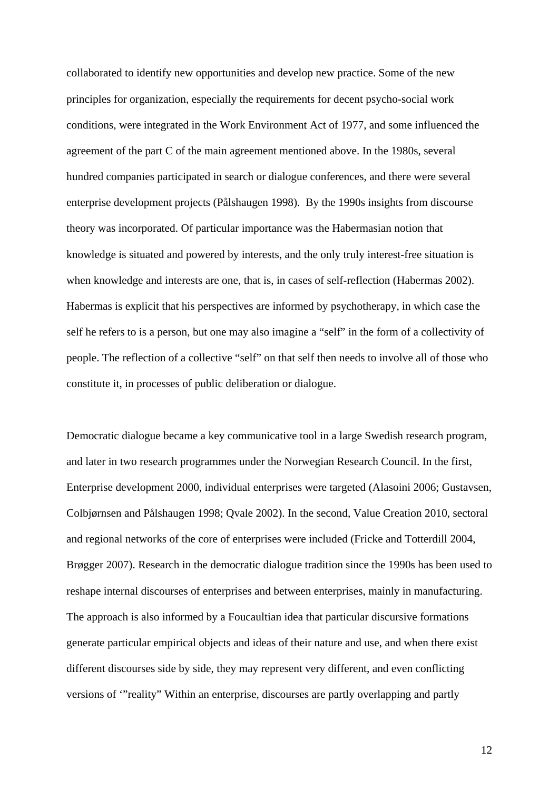collaborated to identify new opportunities and develop new practice. Some of the new principles for organization, especially the requirements for decent psycho-social work conditions, were integrated in the Work Environment Act of 1977, and some influenced the agreement of the part C of the main agreement mentioned above. In the 1980s, several hundred companies participated in search or dialogue conferences, and there were several enterprise development projects (Pålshaugen 1998). By the 1990s insights from discourse theory was incorporated. Of particular importance was the Habermasian notion that knowledge is situated and powered by interests, and the only truly interest-free situation is when knowledge and interests are one, that is, in cases of self-reflection (Habermas 2002). Habermas is explicit that his perspectives are informed by psychotherapy, in which case the self he refers to is a person, but one may also imagine a "self" in the form of a collectivity of people. The reflection of a collective "self" on that self then needs to involve all of those who constitute it, in processes of public deliberation or dialogue.

Democratic dialogue became a key communicative tool in a large Swedish research program, and later in two research programmes under the Norwegian Research Council. In the first, Enterprise development 2000, individual enterprises were targeted (Alasoini 2006; Gustavsen, Colbjørnsen and Pålshaugen 1998; Qvale 2002). In the second, Value Creation 2010, sectoral and regional networks of the core of enterprises were included (Fricke and Totterdill 2004, Brøgger 2007). Research in the democratic dialogue tradition since the 1990s has been used to reshape internal discourses of enterprises and between enterprises, mainly in manufacturing. The approach is also informed by a Foucaultian idea that particular discursive formations generate particular empirical objects and ideas of their nature and use, and when there exist different discourses side by side, they may represent very different, and even conflicting versions of '"reality" Within an enterprise, discourses are partly overlapping and partly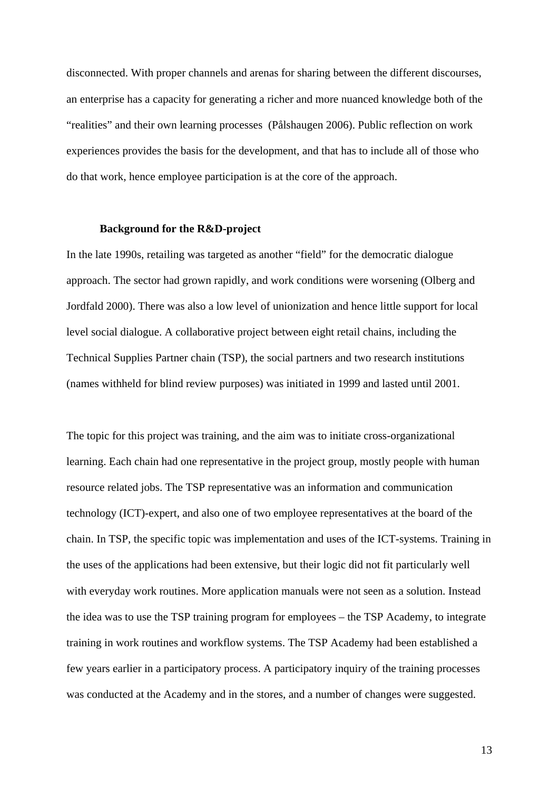disconnected. With proper channels and arenas for sharing between the different discourses, an enterprise has a capacity for generating a richer and more nuanced knowledge both of the "realities" and their own learning processes (Pålshaugen 2006). Public reflection on work experiences provides the basis for the development, and that has to include all of those who do that work, hence employee participation is at the core of the approach.

#### **Background for the R&D-project**

In the late 1990s, retailing was targeted as another "field" for the democratic dialogue approach. The sector had grown rapidly, and work conditions were worsening (Olberg and Jordfald 2000). There was also a low level of unionization and hence little support for local level social dialogue. A collaborative project between eight retail chains, including the Technical Supplies Partner chain (TSP), the social partners and two research institutions (names withheld for blind review purposes) was initiated in 1999 and lasted until 2001.

The topic for this project was training, and the aim was to initiate cross-organizational learning. Each chain had one representative in the project group, mostly people with human resource related jobs. The TSP representative was an information and communication technology (ICT)-expert, and also one of two employee representatives at the board of the chain. In TSP, the specific topic was implementation and uses of the ICT-systems. Training in the uses of the applications had been extensive, but their logic did not fit particularly well with everyday work routines. More application manuals were not seen as a solution. Instead the idea was to use the TSP training program for employees – the TSP Academy, to integrate training in work routines and workflow systems. The TSP Academy had been established a few years earlier in a participatory process. A participatory inquiry of the training processes was conducted at the Academy and in the stores, and a number of changes were suggested.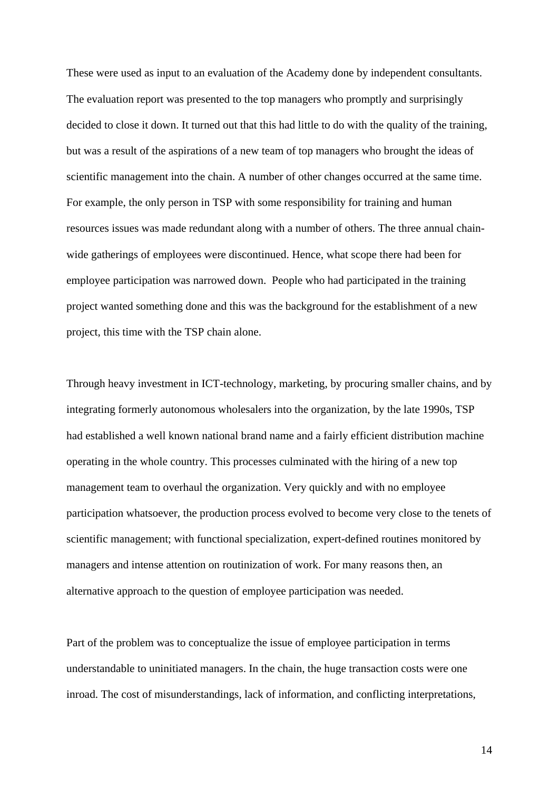These were used as input to an evaluation of the Academy done by independent consultants. The evaluation report was presented to the top managers who promptly and surprisingly decided to close it down. It turned out that this had little to do with the quality of the training, but was a result of the aspirations of a new team of top managers who brought the ideas of scientific management into the chain. A number of other changes occurred at the same time. For example, the only person in TSP with some responsibility for training and human resources issues was made redundant along with a number of others. The three annual chainwide gatherings of employees were discontinued. Hence, what scope there had been for employee participation was narrowed down. People who had participated in the training project wanted something done and this was the background for the establishment of a new project, this time with the TSP chain alone.

Through heavy investment in ICT-technology, marketing, by procuring smaller chains, and by integrating formerly autonomous wholesalers into the organization, by the late 1990s, TSP had established a well known national brand name and a fairly efficient distribution machine operating in the whole country. This processes culminated with the hiring of a new top management team to overhaul the organization. Very quickly and with no employee participation whatsoever, the production process evolved to become very close to the tenets of scientific management; with functional specialization, expert-defined routines monitored by managers and intense attention on routinization of work. For many reasons then, an alternative approach to the question of employee participation was needed.

Part of the problem was to conceptualize the issue of employee participation in terms understandable to uninitiated managers. In the chain, the huge transaction costs were one inroad. The cost of misunderstandings, lack of information, and conflicting interpretations,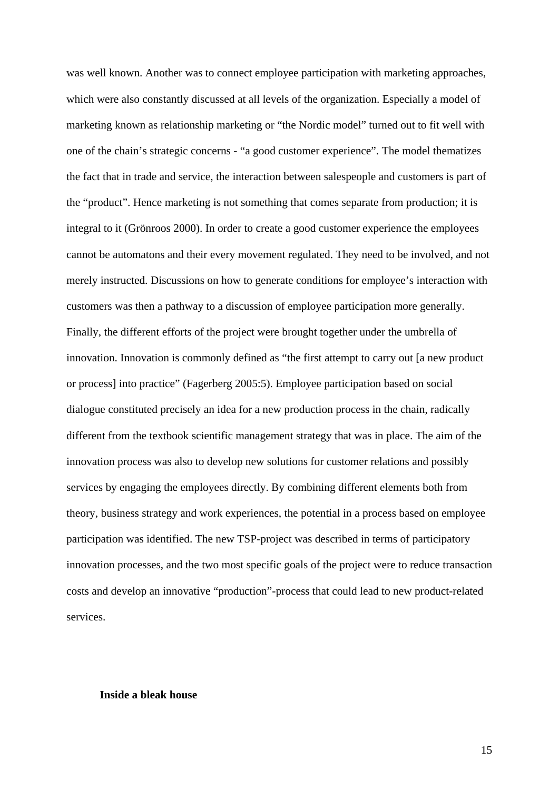was well known. Another was to connect employee participation with marketing approaches, which were also constantly discussed at all levels of the organization. Especially a model of marketing known as relationship marketing or "the Nordic model" turned out to fit well with one of the chain's strategic concerns - "a good customer experience". The model thematizes the fact that in trade and service, the interaction between salespeople and customers is part of the "product". Hence marketing is not something that comes separate from production; it is integral to it (Grönroos 2000). In order to create a good customer experience the employees cannot be automatons and their every movement regulated. They need to be involved, and not merely instructed. Discussions on how to generate conditions for employee's interaction with customers was then a pathway to a discussion of employee participation more generally. Finally, the different efforts of the project were brought together under the umbrella of innovation. Innovation is commonly defined as "the first attempt to carry out [a new product or process] into practice" (Fagerberg 2005:5). Employee participation based on social dialogue constituted precisely an idea for a new production process in the chain, radically different from the textbook scientific management strategy that was in place. The aim of the innovation process was also to develop new solutions for customer relations and possibly services by engaging the employees directly. By combining different elements both from theory, business strategy and work experiences, the potential in a process based on employee participation was identified. The new TSP-project was described in terms of participatory innovation processes, and the two most specific goals of the project were to reduce transaction costs and develop an innovative "production"-process that could lead to new product-related services.

## **Inside a bleak house**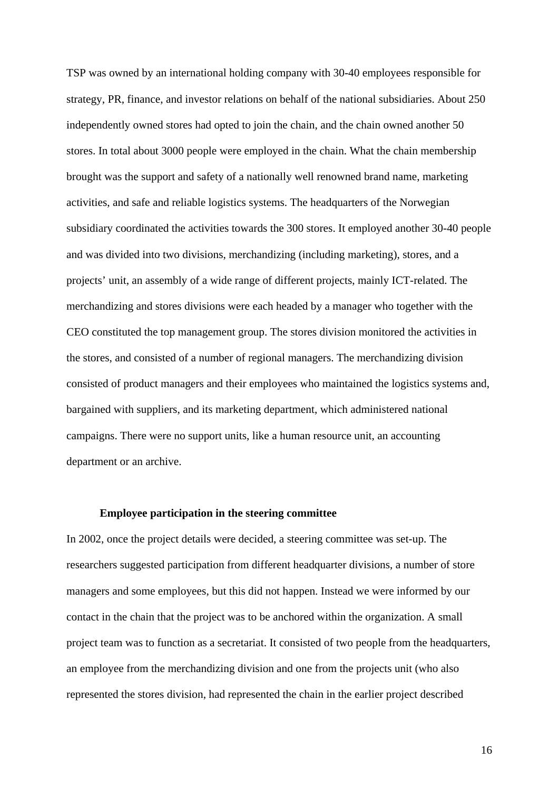TSP was owned by an international holding company with 30-40 employees responsible for strategy, PR, finance, and investor relations on behalf of the national subsidiaries. About 250 independently owned stores had opted to join the chain, and the chain owned another 50 stores. In total about 3000 people were employed in the chain. What the chain membership brought was the support and safety of a nationally well renowned brand name, marketing activities, and safe and reliable logistics systems. The headquarters of the Norwegian subsidiary coordinated the activities towards the 300 stores. It employed another 30-40 people and was divided into two divisions, merchandizing (including marketing), stores, and a projects' unit, an assembly of a wide range of different projects, mainly ICT-related. The merchandizing and stores divisions were each headed by a manager who together with the CEO constituted the top management group. The stores division monitored the activities in the stores, and consisted of a number of regional managers. The merchandizing division consisted of product managers and their employees who maintained the logistics systems and, bargained with suppliers, and its marketing department, which administered national campaigns. There were no support units, like a human resource unit, an accounting department or an archive.

## **Employee participation in the steering committee**

In 2002, once the project details were decided, a steering committee was set-up. The researchers suggested participation from different headquarter divisions, a number of store managers and some employees, but this did not happen. Instead we were informed by our contact in the chain that the project was to be anchored within the organization. A small project team was to function as a secretariat. It consisted of two people from the headquarters, an employee from the merchandizing division and one from the projects unit (who also represented the stores division, had represented the chain in the earlier project described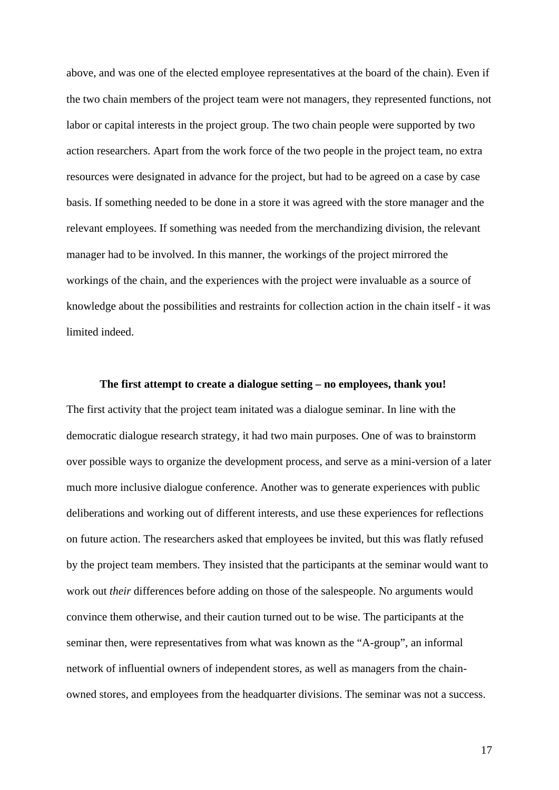above, and was one of the elected employee representatives at the board of the chain). Even if the two chain members of the project team were not managers, they represented functions, not labor or capital interests in the project group. The two chain people were supported by two action researchers. Apart from the work force of the two people in the project team, no extra resources were designated in advance for the project, but had to be agreed on a case by case basis. If something needed to be done in a store it was agreed with the store manager and the relevant employees. If something was needed from the merchandizing division, the relevant manager had to be involved. In this manner, the workings of the project mirrored the workings of the chain, and the experiences with the project were invaluable as a source of knowledge about the possibilities and restraints for collection action in the chain itself - it was limited indeed.

## **The first attempt to create a dialogue setting – no employees, thank you!**

The first activity that the project team initated was a dialogue seminar. In line with the democratic dialogue research strategy, it had two main purposes. One of was to brainstorm over possible ways to organize the development process, and serve as a mini-version of a later much more inclusive dialogue conference. Another was to generate experiences with public deliberations and working out of different interests, and use these experiences for reflections on future action. The researchers asked that employees be invited, but this was flatly refused by the project team members. They insisted that the participants at the seminar would want to work out *their* differences before adding on those of the salespeople. No arguments would convince them otherwise, and their caution turned out to be wise. The participants at the seminar then, were representatives from what was known as the "A-group", an informal network of influential owners of independent stores, as well as managers from the chainowned stores, and employees from the headquarter divisions. The seminar was not a success.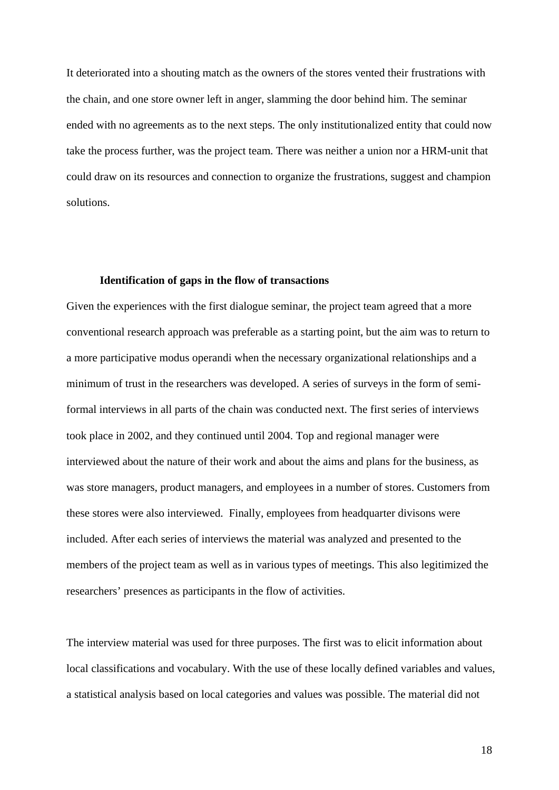It deteriorated into a shouting match as the owners of the stores vented their frustrations with the chain, and one store owner left in anger, slamming the door behind him. The seminar ended with no agreements as to the next steps. The only institutionalized entity that could now take the process further, was the project team. There was neither a union nor a HRM-unit that could draw on its resources and connection to organize the frustrations, suggest and champion solutions.

## **Identification of gaps in the flow of transactions**

Given the experiences with the first dialogue seminar, the project team agreed that a more conventional research approach was preferable as a starting point, but the aim was to return to a more participative modus operandi when the necessary organizational relationships and a minimum of trust in the researchers was developed. A series of surveys in the form of semiformal interviews in all parts of the chain was conducted next. The first series of interviews took place in 2002, and they continued until 2004. Top and regional manager were interviewed about the nature of their work and about the aims and plans for the business, as was store managers, product managers, and employees in a number of stores. Customers from these stores were also interviewed. Finally, employees from headquarter divisons were included. After each series of interviews the material was analyzed and presented to the members of the project team as well as in various types of meetings. This also legitimized the researchers' presences as participants in the flow of activities.

The interview material was used for three purposes. The first was to elicit information about local classifications and vocabulary. With the use of these locally defined variables and values, a statistical analysis based on local categories and values was possible. The material did not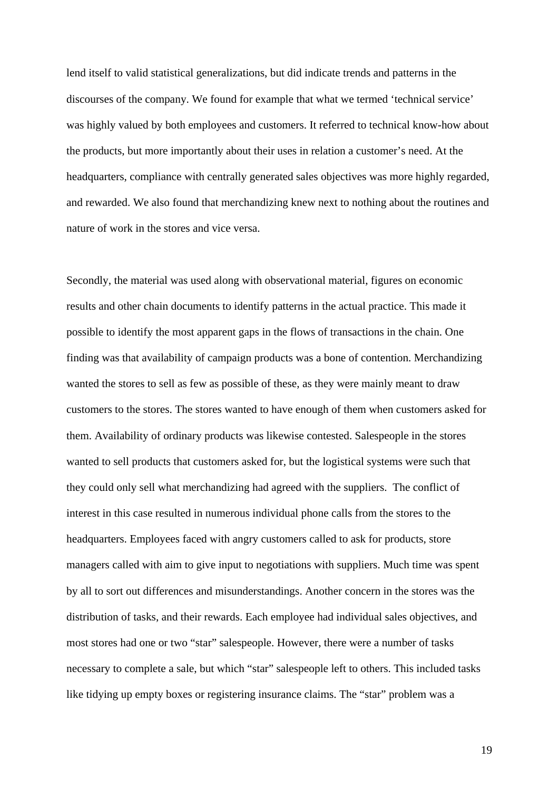lend itself to valid statistical generalizations, but did indicate trends and patterns in the discourses of the company. We found for example that what we termed 'technical service' was highly valued by both employees and customers. It referred to technical know-how about the products, but more importantly about their uses in relation a customer's need. At the headquarters, compliance with centrally generated sales objectives was more highly regarded, and rewarded. We also found that merchandizing knew next to nothing about the routines and nature of work in the stores and vice versa.

Secondly, the material was used along with observational material, figures on economic results and other chain documents to identify patterns in the actual practice. This made it possible to identify the most apparent gaps in the flows of transactions in the chain. One finding was that availability of campaign products was a bone of contention. Merchandizing wanted the stores to sell as few as possible of these, as they were mainly meant to draw customers to the stores. The stores wanted to have enough of them when customers asked for them. Availability of ordinary products was likewise contested. Salespeople in the stores wanted to sell products that customers asked for, but the logistical systems were such that they could only sell what merchandizing had agreed with the suppliers. The conflict of interest in this case resulted in numerous individual phone calls from the stores to the headquarters. Employees faced with angry customers called to ask for products, store managers called with aim to give input to negotiations with suppliers. Much time was spent by all to sort out differences and misunderstandings. Another concern in the stores was the distribution of tasks, and their rewards. Each employee had individual sales objectives, and most stores had one or two "star" salespeople. However, there were a number of tasks necessary to complete a sale, but which "star" salespeople left to others. This included tasks like tidying up empty boxes or registering insurance claims. The "star" problem was a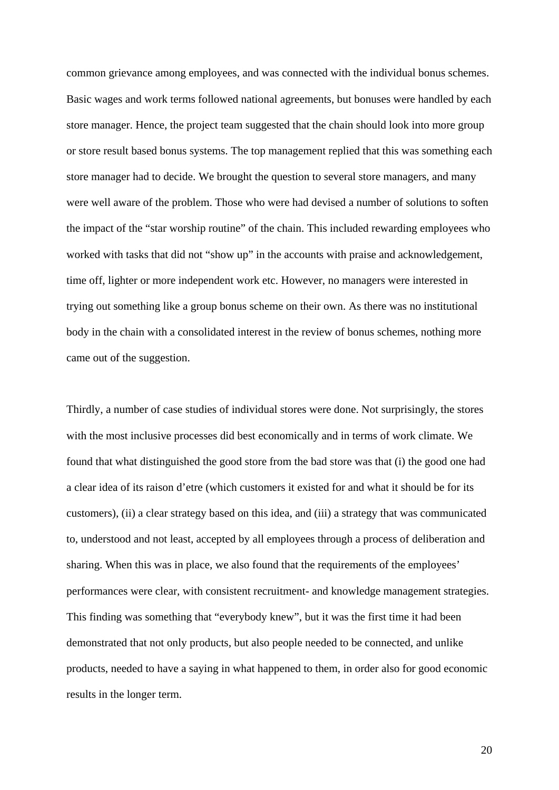common grievance among employees, and was connected with the individual bonus schemes. Basic wages and work terms followed national agreements, but bonuses were handled by each store manager. Hence, the project team suggested that the chain should look into more group or store result based bonus systems. The top management replied that this was something each store manager had to decide. We brought the question to several store managers, and many were well aware of the problem. Those who were had devised a number of solutions to soften the impact of the "star worship routine" of the chain. This included rewarding employees who worked with tasks that did not "show up" in the accounts with praise and acknowledgement, time off, lighter or more independent work etc. However, no managers were interested in trying out something like a group bonus scheme on their own. As there was no institutional body in the chain with a consolidated interest in the review of bonus schemes, nothing more came out of the suggestion.

Thirdly, a number of case studies of individual stores were done. Not surprisingly, the stores with the most inclusive processes did best economically and in terms of work climate. We found that what distinguished the good store from the bad store was that (i) the good one had a clear idea of its raison d'etre (which customers it existed for and what it should be for its customers), (ii) a clear strategy based on this idea, and (iii) a strategy that was communicated to, understood and not least, accepted by all employees through a process of deliberation and sharing. When this was in place, we also found that the requirements of the employees' performances were clear, with consistent recruitment- and knowledge management strategies. This finding was something that "everybody knew", but it was the first time it had been demonstrated that not only products, but also people needed to be connected, and unlike products, needed to have a saying in what happened to them, in order also for good economic results in the longer term.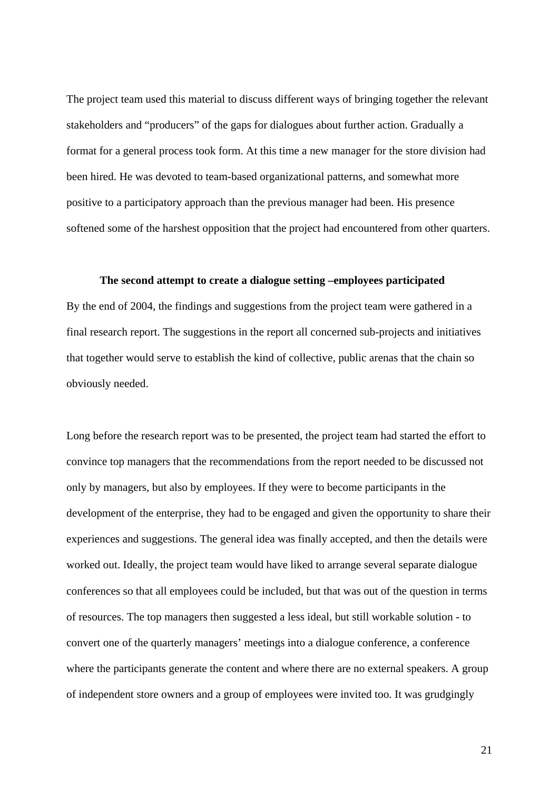The project team used this material to discuss different ways of bringing together the relevant stakeholders and "producers" of the gaps for dialogues about further action. Gradually a format for a general process took form. At this time a new manager for the store division had been hired. He was devoted to team-based organizational patterns, and somewhat more positive to a participatory approach than the previous manager had been. His presence softened some of the harshest opposition that the project had encountered from other quarters.

### **The second attempt to create a dialogue setting –employees participated**

By the end of 2004, the findings and suggestions from the project team were gathered in a final research report. The suggestions in the report all concerned sub-projects and initiatives that together would serve to establish the kind of collective, public arenas that the chain so obviously needed.

Long before the research report was to be presented, the project team had started the effort to convince top managers that the recommendations from the report needed to be discussed not only by managers, but also by employees. If they were to become participants in the development of the enterprise, they had to be engaged and given the opportunity to share their experiences and suggestions. The general idea was finally accepted, and then the details were worked out. Ideally, the project team would have liked to arrange several separate dialogue conferences so that all employees could be included, but that was out of the question in terms of resources. The top managers then suggested a less ideal, but still workable solution - to convert one of the quarterly managers' meetings into a dialogue conference, a conference where the participants generate the content and where there are no external speakers. A group of independent store owners and a group of employees were invited too. It was grudgingly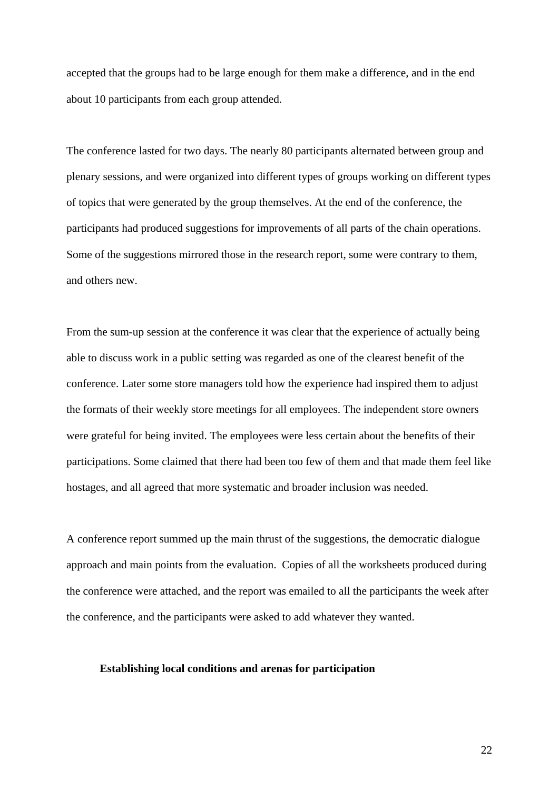accepted that the groups had to be large enough for them make a difference, and in the end about 10 participants from each group attended.

The conference lasted for two days. The nearly 80 participants alternated between group and plenary sessions, and were organized into different types of groups working on different types of topics that were generated by the group themselves. At the end of the conference, the participants had produced suggestions for improvements of all parts of the chain operations. Some of the suggestions mirrored those in the research report, some were contrary to them, and others new.

From the sum-up session at the conference it was clear that the experience of actually being able to discuss work in a public setting was regarded as one of the clearest benefit of the conference. Later some store managers told how the experience had inspired them to adjust the formats of their weekly store meetings for all employees. The independent store owners were grateful for being invited. The employees were less certain about the benefits of their participations. Some claimed that there had been too few of them and that made them feel like hostages, and all agreed that more systematic and broader inclusion was needed.

A conference report summed up the main thrust of the suggestions, the democratic dialogue approach and main points from the evaluation. Copies of all the worksheets produced during the conference were attached, and the report was emailed to all the participants the week after the conference, and the participants were asked to add whatever they wanted.

## **Establishing local conditions and arenas for participation**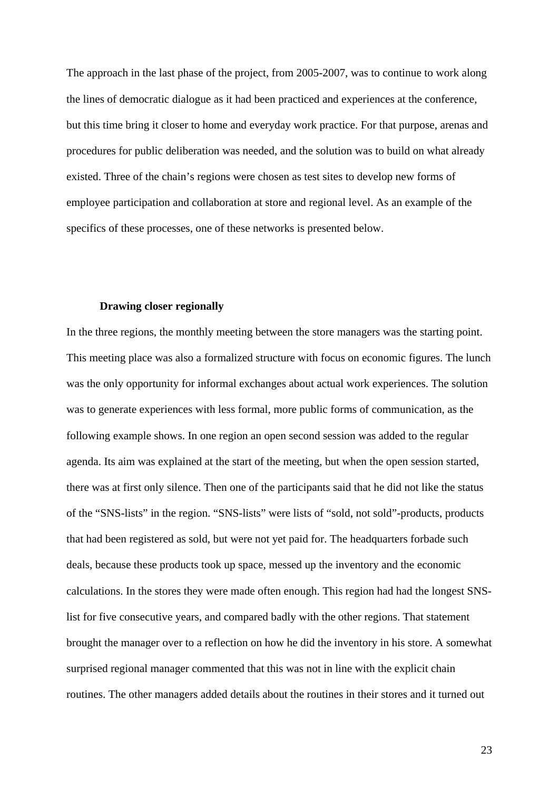The approach in the last phase of the project, from 2005-2007, was to continue to work along the lines of democratic dialogue as it had been practiced and experiences at the conference, but this time bring it closer to home and everyday work practice. For that purpose, arenas and procedures for public deliberation was needed, and the solution was to build on what already existed. Three of the chain's regions were chosen as test sites to develop new forms of employee participation and collaboration at store and regional level. As an example of the specifics of these processes, one of these networks is presented below.

# **Drawing closer regionally**

In the three regions, the monthly meeting between the store managers was the starting point. This meeting place was also a formalized structure with focus on economic figures. The lunch was the only opportunity for informal exchanges about actual work experiences. The solution was to generate experiences with less formal, more public forms of communication, as the following example shows. In one region an open second session was added to the regular agenda. Its aim was explained at the start of the meeting, but when the open session started, there was at first only silence. Then one of the participants said that he did not like the status of the "SNS-lists" in the region. "SNS-lists" were lists of "sold, not sold"-products, products that had been registered as sold, but were not yet paid for. The headquarters forbade such deals, because these products took up space, messed up the inventory and the economic calculations. In the stores they were made often enough. This region had had the longest SNSlist for five consecutive years, and compared badly with the other regions. That statement brought the manager over to a reflection on how he did the inventory in his store. A somewhat surprised regional manager commented that this was not in line with the explicit chain routines. The other managers added details about the routines in their stores and it turned out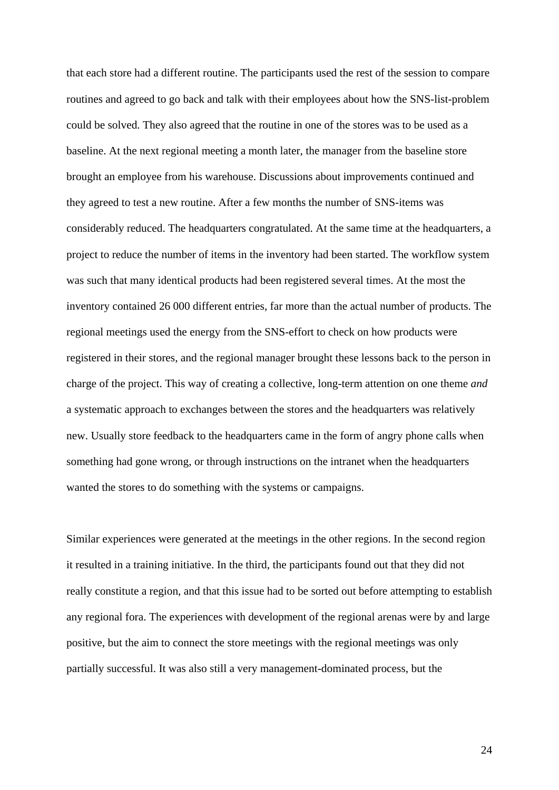that each store had a different routine. The participants used the rest of the session to compare routines and agreed to go back and talk with their employees about how the SNS-list-problem could be solved. They also agreed that the routine in one of the stores was to be used as a baseline. At the next regional meeting a month later, the manager from the baseline store brought an employee from his warehouse. Discussions about improvements continued and they agreed to test a new routine. After a few months the number of SNS-items was considerably reduced. The headquarters congratulated. At the same time at the headquarters, a project to reduce the number of items in the inventory had been started. The workflow system was such that many identical products had been registered several times. At the most the inventory contained 26 000 different entries, far more than the actual number of products. The regional meetings used the energy from the SNS-effort to check on how products were registered in their stores, and the regional manager brought these lessons back to the person in charge of the project. This way of creating a collective, long-term attention on one theme *and* a systematic approach to exchanges between the stores and the headquarters was relatively new. Usually store feedback to the headquarters came in the form of angry phone calls when something had gone wrong, or through instructions on the intranet when the headquarters wanted the stores to do something with the systems or campaigns.

Similar experiences were generated at the meetings in the other regions. In the second region it resulted in a training initiative. In the third, the participants found out that they did not really constitute a region, and that this issue had to be sorted out before attempting to establish any regional fora. The experiences with development of the regional arenas were by and large positive, but the aim to connect the store meetings with the regional meetings was only partially successful. It was also still a very management-dominated process, but the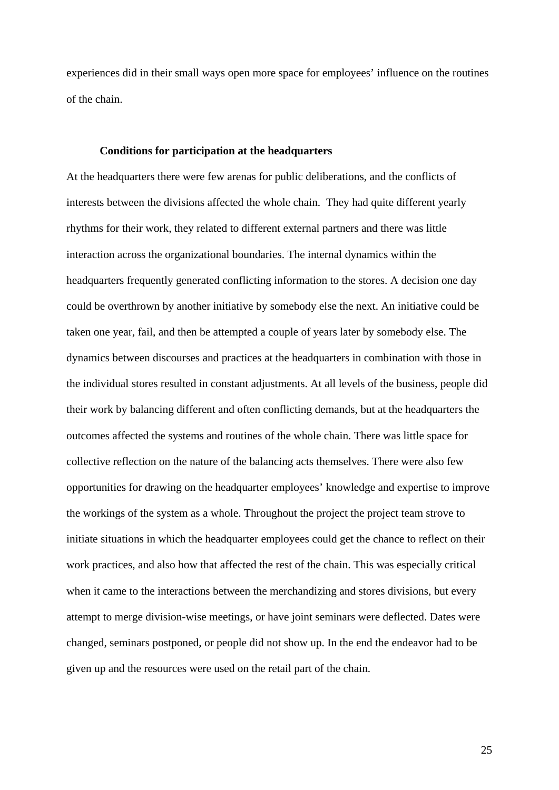experiences did in their small ways open more space for employees' influence on the routines of the chain.

## **Conditions for participation at the headquarters**

At the headquarters there were few arenas for public deliberations, and the conflicts of interests between the divisions affected the whole chain. They had quite different yearly rhythms for their work, they related to different external partners and there was little interaction across the organizational boundaries. The internal dynamics within the headquarters frequently generated conflicting information to the stores. A decision one day could be overthrown by another initiative by somebody else the next. An initiative could be taken one year, fail, and then be attempted a couple of years later by somebody else. The dynamics between discourses and practices at the headquarters in combination with those in the individual stores resulted in constant adjustments. At all levels of the business, people did their work by balancing different and often conflicting demands, but at the headquarters the outcomes affected the systems and routines of the whole chain. There was little space for collective reflection on the nature of the balancing acts themselves. There were also few opportunities for drawing on the headquarter employees' knowledge and expertise to improve the workings of the system as a whole. Throughout the project the project team strove to initiate situations in which the headquarter employees could get the chance to reflect on their work practices, and also how that affected the rest of the chain. This was especially critical when it came to the interactions between the merchandizing and stores divisions, but every attempt to merge division-wise meetings, or have joint seminars were deflected. Dates were changed, seminars postponed, or people did not show up. In the end the endeavor had to be given up and the resources were used on the retail part of the chain.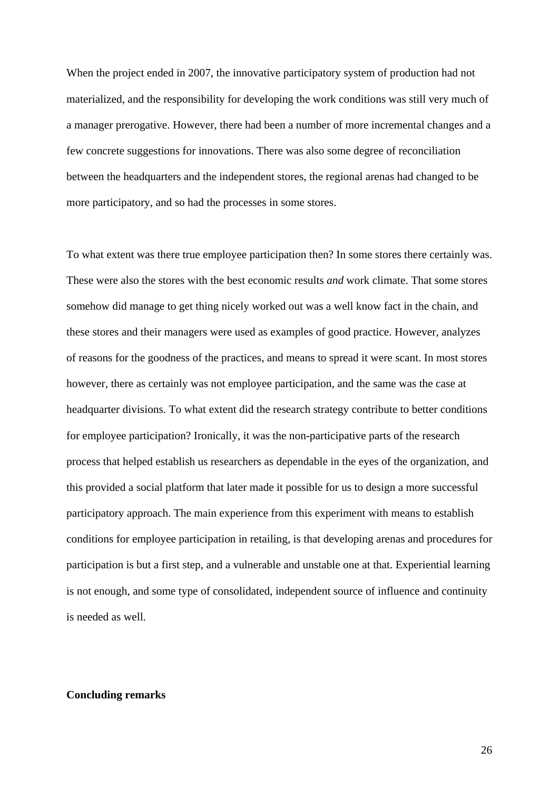When the project ended in 2007, the innovative participatory system of production had not materialized, and the responsibility for developing the work conditions was still very much of a manager prerogative. However, there had been a number of more incremental changes and a few concrete suggestions for innovations. There was also some degree of reconciliation between the headquarters and the independent stores, the regional arenas had changed to be more participatory, and so had the processes in some stores.

To what extent was there true employee participation then? In some stores there certainly was. These were also the stores with the best economic results *and* work climate. That some stores somehow did manage to get thing nicely worked out was a well know fact in the chain, and these stores and their managers were used as examples of good practice. However, analyzes of reasons for the goodness of the practices, and means to spread it were scant. In most stores however, there as certainly was not employee participation, and the same was the case at headquarter divisions. To what extent did the research strategy contribute to better conditions for employee participation? Ironically, it was the non-participative parts of the research process that helped establish us researchers as dependable in the eyes of the organization, and this provided a social platform that later made it possible for us to design a more successful participatory approach. The main experience from this experiment with means to establish conditions for employee participation in retailing, is that developing arenas and procedures for participation is but a first step, and a vulnerable and unstable one at that. Experiential learning is not enough, and some type of consolidated, independent source of influence and continuity is needed as well.

### **Concluding remarks**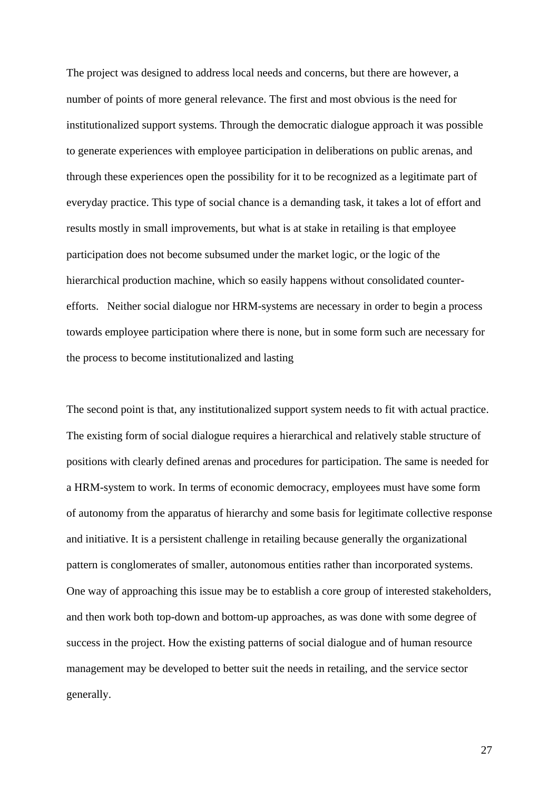The project was designed to address local needs and concerns, but there are however, a number of points of more general relevance. The first and most obvious is the need for institutionalized support systems. Through the democratic dialogue approach it was possible to generate experiences with employee participation in deliberations on public arenas, and through these experiences open the possibility for it to be recognized as a legitimate part of everyday practice. This type of social chance is a demanding task, it takes a lot of effort and results mostly in small improvements, but what is at stake in retailing is that employee participation does not become subsumed under the market logic, or the logic of the hierarchical production machine, which so easily happens without consolidated counterefforts. Neither social dialogue nor HRM-systems are necessary in order to begin a process towards employee participation where there is none, but in some form such are necessary for the process to become institutionalized and lasting

The second point is that, any institutionalized support system needs to fit with actual practice. The existing form of social dialogue requires a hierarchical and relatively stable structure of positions with clearly defined arenas and procedures for participation. The same is needed for a HRM-system to work. In terms of economic democracy, employees must have some form of autonomy from the apparatus of hierarchy and some basis for legitimate collective response and initiative. It is a persistent challenge in retailing because generally the organizational pattern is conglomerates of smaller, autonomous entities rather than incorporated systems. One way of approaching this issue may be to establish a core group of interested stakeholders, and then work both top-down and bottom-up approaches, as was done with some degree of success in the project. How the existing patterns of social dialogue and of human resource management may be developed to better suit the needs in retailing, and the service sector generally.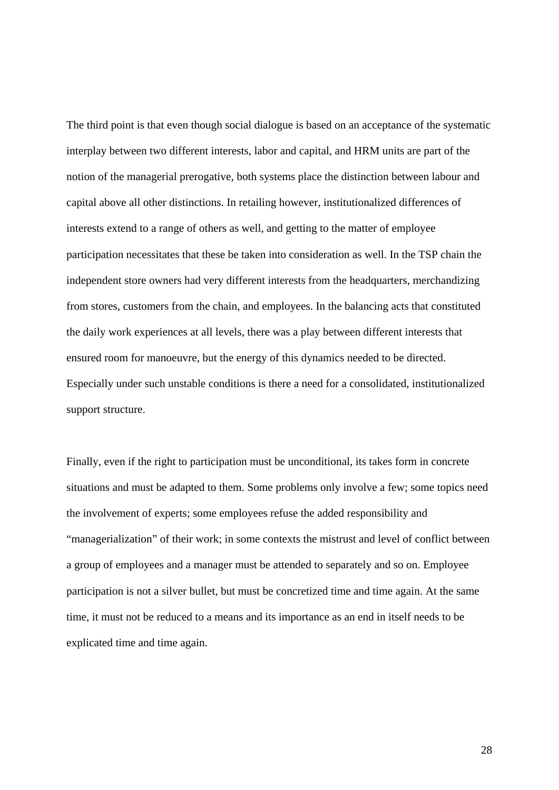The third point is that even though social dialogue is based on an acceptance of the systematic interplay between two different interests, labor and capital, and HRM units are part of the notion of the managerial prerogative, both systems place the distinction between labour and capital above all other distinctions. In retailing however, institutionalized differences of interests extend to a range of others as well, and getting to the matter of employee participation necessitates that these be taken into consideration as well. In the TSP chain the independent store owners had very different interests from the headquarters, merchandizing from stores, customers from the chain, and employees. In the balancing acts that constituted the daily work experiences at all levels, there was a play between different interests that ensured room for manoeuvre, but the energy of this dynamics needed to be directed. Especially under such unstable conditions is there a need for a consolidated, institutionalized support structure.

Finally, even if the right to participation must be unconditional, its takes form in concrete situations and must be adapted to them. Some problems only involve a few; some topics need the involvement of experts; some employees refuse the added responsibility and "managerialization" of their work; in some contexts the mistrust and level of conflict between a group of employees and a manager must be attended to separately and so on. Employee participation is not a silver bullet, but must be concretized time and time again. At the same time, it must not be reduced to a means and its importance as an end in itself needs to be explicated time and time again.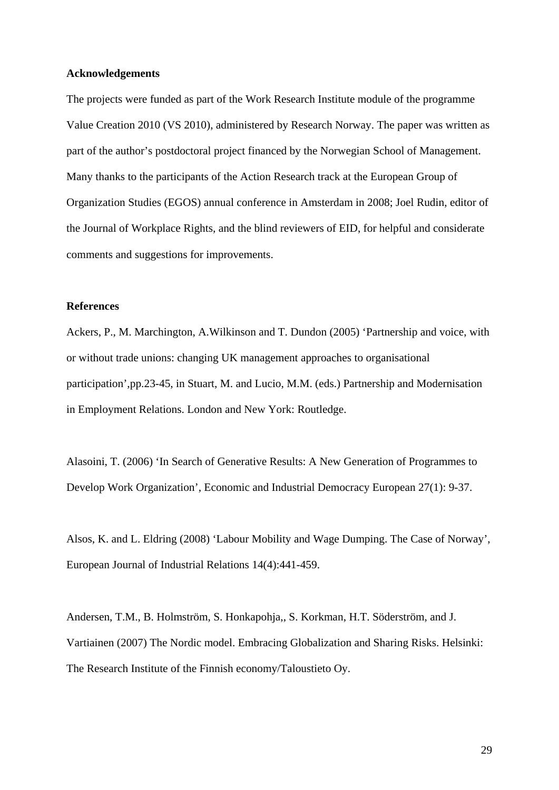### **Acknowledgements**

The projects were funded as part of the Work Research Institute module of the programme Value Creation 2010 (VS 2010), administered by Research Norway. The paper was written as part of the author's postdoctoral project financed by the Norwegian School of Management. Many thanks to the participants of the Action Research track at the European Group of Organization Studies (EGOS) annual conference in Amsterdam in 2008; Joel Rudin, editor of the Journal of Workplace Rights, and the blind reviewers of EID, for helpful and considerate comments and suggestions for improvements.

## **References**

Ackers, P., M. Marchington, A.Wilkinson and T. Dundon (2005) 'Partnership and voice, with or without trade unions: changing UK management approaches to organisational participation',pp.23-45, in Stuart, M. and Lucio, M.M. (eds.) Partnership and Modernisation in Employment Relations. London and New York: Routledge.

Alasoini, T. (2006) 'In Search of Generative Results: A New Generation of Programmes to Develop Work Organization', Economic and Industrial Democracy European 27(1): 9-37.

Alsos, K. and L. Eldring (2008) 'Labour Mobility and Wage Dumping. The Case of Norway', European Journal of Industrial Relations 14(4):441-459.

Andersen, T.M., B. Holmström, S. Honkapohja,, S. Korkman, H.T. Söderström, and J. Vartiainen (2007) The Nordic model. Embracing Globalization and Sharing Risks. Helsinki: The Research Institute of the Finnish economy/Taloustieto Oy.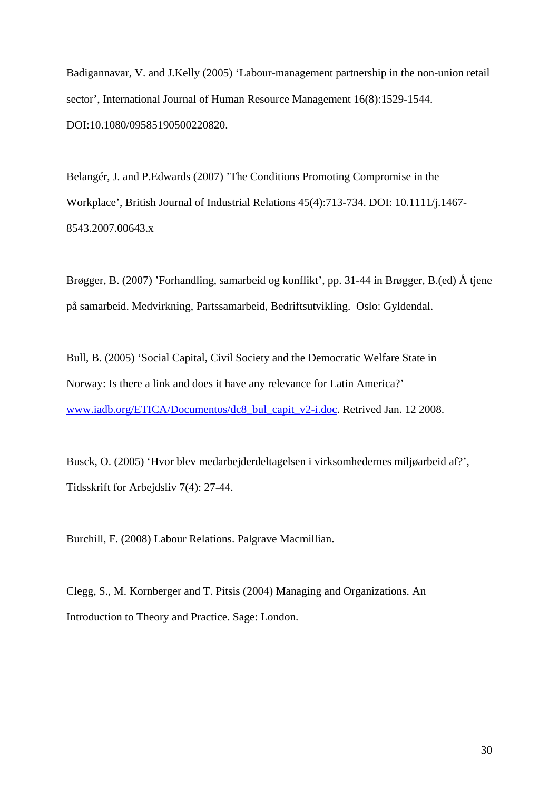Badigannavar, V. and J.Kelly (2005) 'Labour-management partnership in the non-union retail sector', International Journal of Human Resource Management 16(8):1529-1544. DOI:10.1080/09585190500220820.

Belangér, J. and P.Edwards (2007) 'The Conditions Promoting Compromise in the Workplace', British Journal of Industrial Relations 45(4):713-734. DOI: 10.1111/j.1467- 8543.2007.00643.x

Brøgger, B. (2007) 'Forhandling, samarbeid og konflikt', pp. 31-44 in Brøgger, B.(ed) Å tjene på samarbeid. Medvirkning, Partssamarbeid, Bedriftsutvikling. Oslo: Gyldendal.

Bull, B. (2005) 'Social Capital, Civil Society and the Democratic Welfare State in Norway: Is there a link and does it have any relevance for Latin America?' www.iadb.org/ETICA/Documentos/dc8\_bul\_capit\_v2-i.doc. Retrived Jan. 12 2008.

Busck, O. (2005) 'Hvor blev medarbejderdeltagelsen i virksomhedernes miljøarbeid af?', Tidsskrift for Arbejdsliv 7(4): 27-44.

Burchill, F. (2008) Labour Relations. Palgrave Macmillian.

Clegg, S., M. Kornberger and T. Pitsis (2004) Managing and Organizations. An Introduction to Theory and Practice. Sage: London.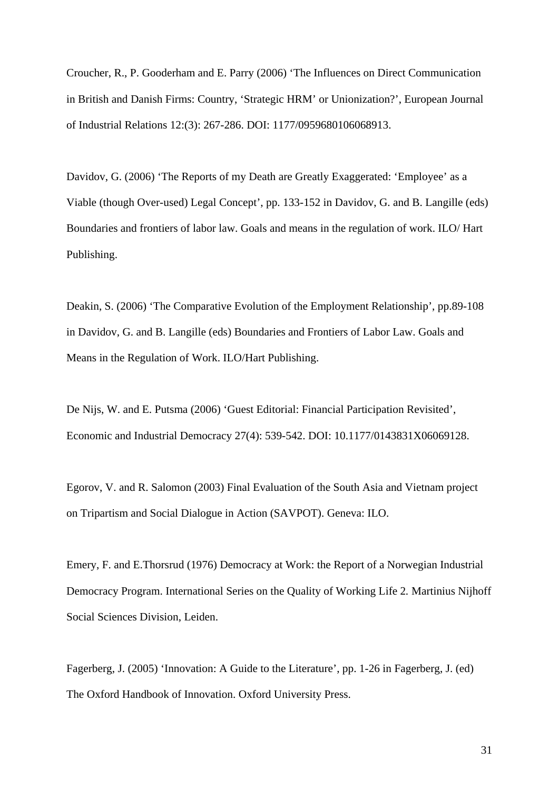Croucher, R., P. Gooderham and E. Parry (2006) 'The Influences on Direct Communication in British and Danish Firms: Country, 'Strategic HRM' or Unionization?', European Journal of Industrial Relations 12:(3): 267-286. DOI: 1177/0959680106068913.

Davidov, G. (2006) 'The Reports of my Death are Greatly Exaggerated: 'Employee' as a Viable (though Over-used) Legal Concept', pp. 133-152 in Davidov, G. and B. Langille (eds) Boundaries and frontiers of labor law. Goals and means in the regulation of work. ILO/ Hart Publishing.

Deakin, S. (2006) 'The Comparative Evolution of the Employment Relationship', pp.89-108 in Davidov, G. and B. Langille (eds) Boundaries and Frontiers of Labor Law. Goals and Means in the Regulation of Work. ILO/Hart Publishing.

De Nijs, W. and E. Putsma (2006) 'Guest Editorial: Financial Participation Revisited', Economic and Industrial Democracy 27(4): 539-542. DOI: 10.1177/0143831X06069128.

Egorov, V. and R. Salomon (2003) Final Evaluation of the South Asia and Vietnam project on Tripartism and Social Dialogue in Action (SAVPOT). Geneva: ILO.

Emery, F. and E.Thorsrud (1976) Democracy at Work: the Report of a Norwegian Industrial Democracy Program. International Series on the Quality of Working Life 2*.* Martinius Nijhoff Social Sciences Division, Leiden.

Fagerberg, J. (2005) 'Innovation: A Guide to the Literature', pp. 1-26 in Fagerberg, J. (ed) The Oxford Handbook of Innovation. Oxford University Press.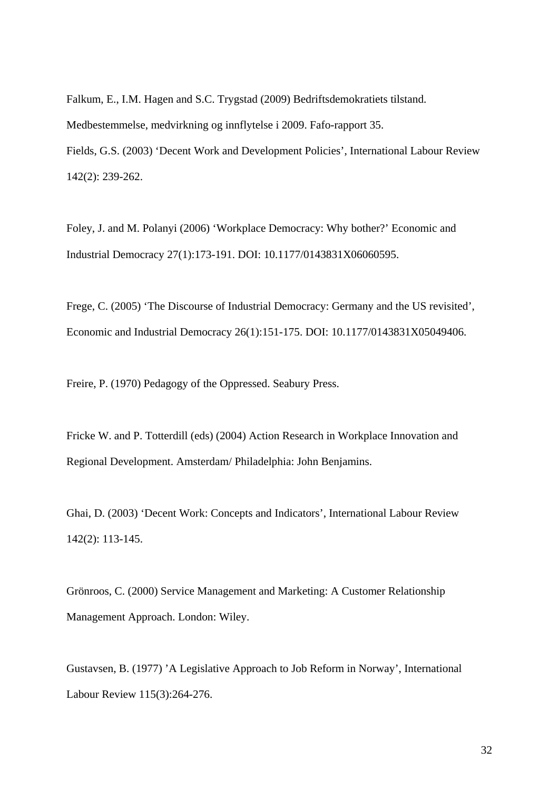Falkum, E., I.M. Hagen and S.C. Trygstad (2009) Bedriftsdemokratiets tilstand. Medbestemmelse, medvirkning og innflytelse i 2009. Fafo-rapport 35. Fields, G.S. (2003) 'Decent Work and Development Policies', International Labour Review 142(2): 239-262.

Foley, J. and M. Polanyi (2006) 'Workplace Democracy: Why bother?' Economic and Industrial Democracy 27(1):173-191. DOI: 10.1177/0143831X06060595.

Frege, C. (2005) 'The Discourse of Industrial Democracy: Germany and the US revisited', Economic and Industrial Democracy 26(1):151-175. DOI: 10.1177/0143831X05049406.

Freire, P. (1970) Pedagogy of the Oppressed. Seabury Press.

Fricke W. and P. Totterdill (eds) (2004) Action Research in Workplace Innovation and Regional Development. Amsterdam/ Philadelphia: John Benjamins.

Ghai, D. (2003) 'Decent Work: Concepts and Indicators', International Labour Review 142(2): 113-145.

Grönroos, C. (2000) Service Management and Marketing: A Customer Relationship Management Approach. London: Wiley.

Gustavsen, B. (1977) 'A Legislative Approach to Job Reform in Norway', International Labour Review 115(3):264-276.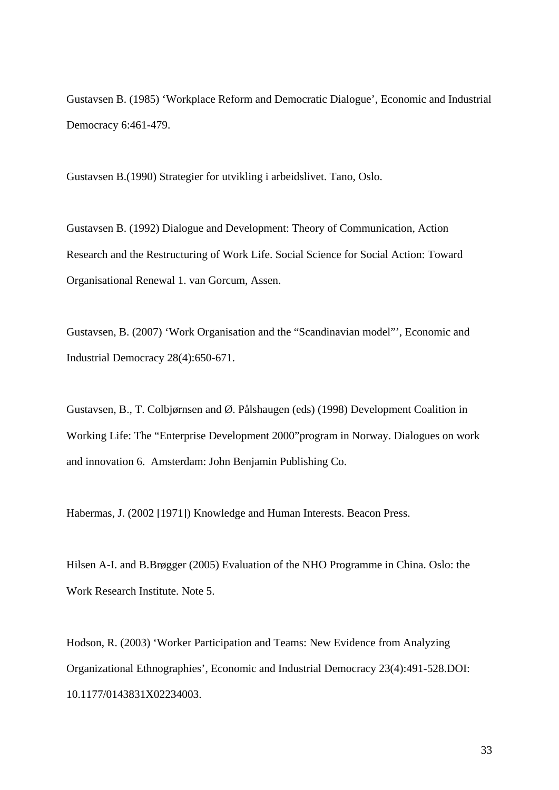Gustavsen B. (1985) 'Workplace Reform and Democratic Dialogue', Economic and Industrial Democracy 6:461-479.

Gustavsen B.(1990) Strategier for utvikling i arbeidslivet. Tano, Oslo.

Gustavsen B. (1992) Dialogue and Development: Theory of Communication, Action Research and the Restructuring of Work Life. Social Science for Social Action: Toward Organisational Renewal 1. van Gorcum, Assen.

Gustavsen, B. (2007) 'Work Organisation and the "Scandinavian model"', Economic and Industrial Democracy 28(4):650-671.

Gustavsen, B., T. Colbjørnsen and Ø. Pålshaugen (eds) (1998) Development Coalition in Working Life: The "Enterprise Development 2000"program in Norway. Dialogues on work and innovation 6. Amsterdam: John Benjamin Publishing Co.

Habermas, J. (2002 [1971]) Knowledge and Human Interests. Beacon Press.

Hilsen A-I. and B.Brøgger (2005) Evaluation of the NHO Programme in China. Oslo: the Work Research Institute. Note 5.

Hodson, R. (2003) 'Worker Participation and Teams: New Evidence from Analyzing Organizational Ethnographies', Economic and Industrial Democracy 23(4):491-528.DOI: 10.1177/0143831X02234003.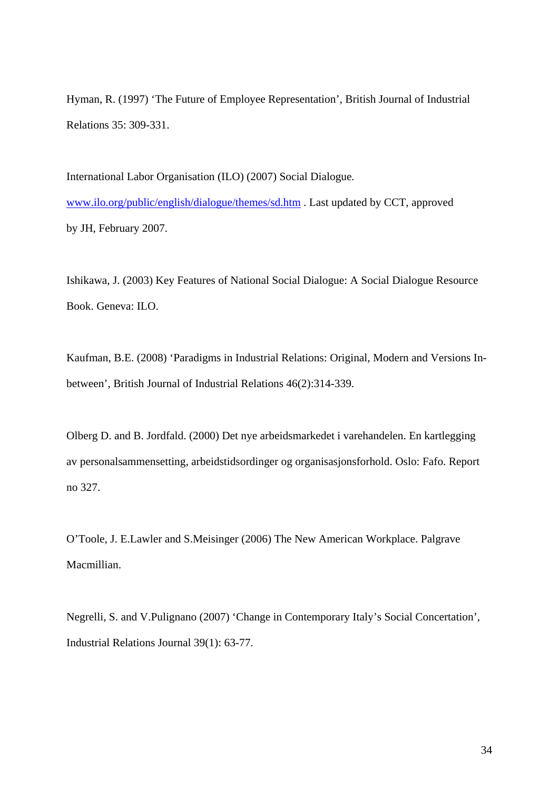Hyman, R. (1997) 'The Future of Employee Representation', British Journal of Industrial Relations 35: 309-331.

International Labor Organisation (ILO) (2007) Social Dialogue*.* www.ilo.org/public/english/dialogue/themes/sd.htm . Last updated by CCT, approved by JH, February 2007.

Ishikawa, J. (2003) Key Features of National Social Dialogue: A Social Dialogue Resource Book. Geneva: ILO.

Kaufman, B.E. (2008) 'Paradigms in Industrial Relations: Original, Modern and Versions Inbetween', British Journal of Industrial Relations 46(2):314-339.

Olberg D. and B. Jordfald. (2000) Det nye arbeidsmarkedet i varehandelen. En kartlegging av personalsammensetting, arbeidstidsordinger og organisasjonsforhold. Oslo: Fafo. Report no 327.

O'Toole, J. E.Lawler and S.Meisinger (2006) The New American Workplace. Palgrave Macmillian.

Negrelli, S. and V.Pulignano (2007) 'Change in Contemporary Italy's Social Concertation', Industrial Relations Journal 39(1): 63-77.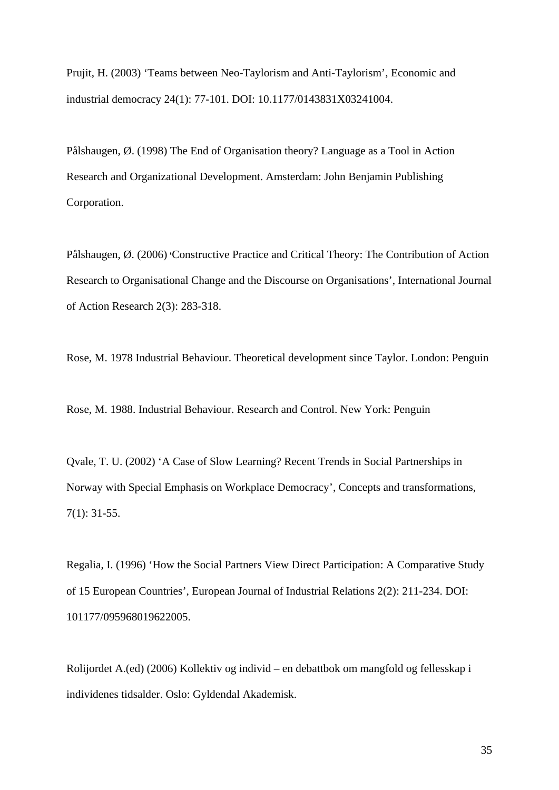Prujit, H. (2003) 'Teams between Neo-Taylorism and Anti-Taylorism', Economic and industrial democracy 24(1): 77-101. DOI: 10.1177/0143831X03241004.

Pålshaugen, Ø. (1998) The End of Organisation theory? Language as a Tool in Action Research and Organizational Development. Amsterdam: John Benjamin Publishing Corporation.

Pålshaugen, Ø. (2006) **'**Constructive Practice and Critical Theory: The Contribution of Action Research to Organisational Change and the Discourse on Organisations', International Journal of Action Research 2(3): 283-318.

Rose, M. 1978 Industrial Behaviour. Theoretical development since Taylor. London: Penguin

Rose, M. 1988. Industrial Behaviour. Research and Control. New York: Penguin

Qvale, T. U. (2002) 'A Case of Slow Learning? Recent Trends in Social Partnerships in Norway with Special Emphasis on Workplace Democracy', Concepts and transformations, 7(1): 31-55.

Regalia, I. (1996) 'How the Social Partners View Direct Participation: A Comparative Study of 15 European Countries', European Journal of Industrial Relations 2(2): 211-234. DOI: 101177/095968019622005.

Rolijordet A.(ed) (2006) Kollektiv og individ – en debattbok om mangfold og fellesskap i individenes tidsalder. Oslo: Gyldendal Akademisk.